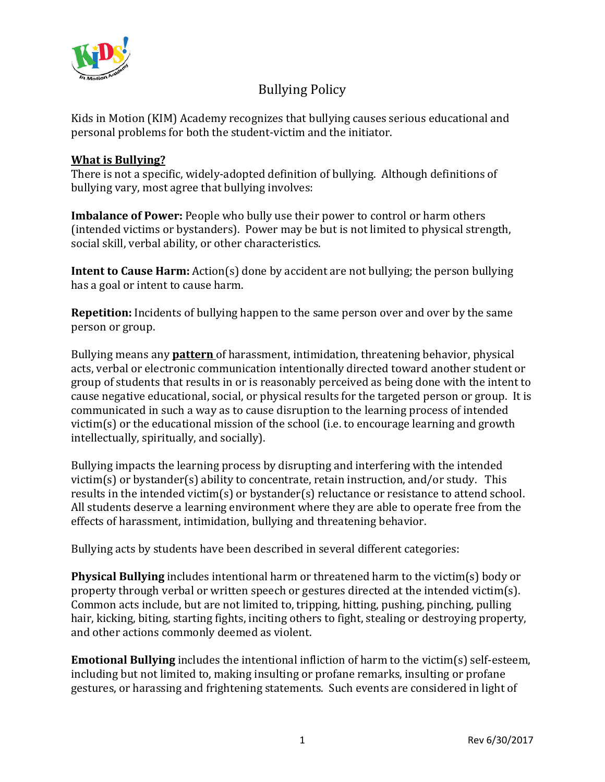

# Bullying Policy

Kids in Motion (KIM) Academy recognizes that bullying causes serious educational and personal problems for both the student-victim and the initiator.

## **What is Bullying?**

There is not a specific, widely-adopted definition of bullying. Although definitions of bullying vary, most agree that bullying involves:

**Imbalance of Power:** People who bully use their power to control or harm others (intended victims or bystanders). Power may be but is not limited to physical strength, social skill, verbal ability, or other characteristics.

**Intent to Cause Harm:** Action(s) done by accident are not bullying; the person bullying has a goal or intent to cause harm.

**Repetition:** Incidents of bullying happen to the same person over and over by the same person or group.

Bullying means any **pattern** of harassment, intimidation, threatening behavior, physical acts, verbal or electronic communication intentionally directed toward another student or group of students that results in or is reasonably perceived as being done with the intent to cause negative educational, social, or physical results for the targeted person or group. It is communicated in such a way as to cause disruption to the learning process of intended victim(s) or the educational mission of the school (i.e. to encourage learning and growth intellectually, spiritually, and socially).

Bullying impacts the learning process by disrupting and interfering with the intended victim(s) or bystander(s) ability to concentrate, retain instruction, and/or study. This results in the intended victim(s) or bystander(s) reluctance or resistance to attend school. All students deserve a learning environment where they are able to operate free from the effects of harassment, intimidation, bullying and threatening behavior.

Bullying acts by students have been described in several different categories:

**Physical Bullying** includes intentional harm or threatened harm to the victim(s) body or property through verbal or written speech or gestures directed at the intended victim(s). Common acts include, but are not limited to, tripping, hitting, pushing, pinching, pulling hair, kicking, biting, starting fights, inciting others to fight, stealing or destroying property, and other actions commonly deemed as violent.

**Emotional Bullying** includes the intentional infliction of harm to the victim(s) self-esteem, including but not limited to, making insulting or profane remarks, insulting or profane gestures, or harassing and frightening statements. Such events are considered in light of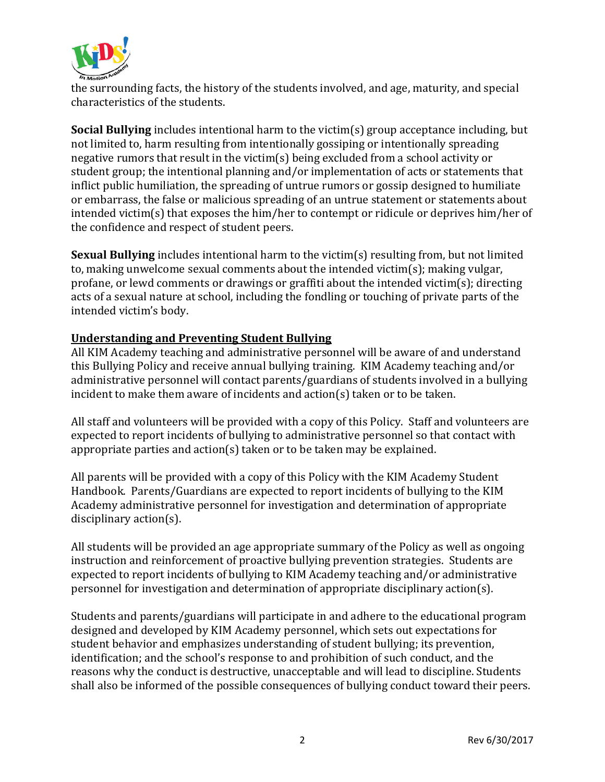

the surrounding facts, the history of the students involved, and age, maturity, and special characteristics of the students.

**Social Bullying** includes intentional harm to the victim(s) group acceptance including, but not limited to, harm resulting from intentionally gossiping or intentionally spreading negative rumors that result in the victim(s) being excluded from a school activity or student group; the intentional planning and/or implementation of acts or statements that inflict public humiliation, the spreading of untrue rumors or gossip designed to humiliate or embarrass, the false or malicious spreading of an untrue statement or statements about intended victim(s) that exposes the him/her to contempt or ridicule or deprives him/her of the confidence and respect of student peers.

**Sexual Bullying** includes intentional harm to the victim(s) resulting from, but not limited to, making unwelcome sexual comments about the intended victim(s); making vulgar, profane, or lewd comments or drawings or graffiti about the intended victim(s); directing acts of a sexual nature at school, including the fondling or touching of private parts of the intended victim's body.

## **Understanding and Preventing Student Bullying**

All KIM Academy teaching and administrative personnel will be aware of and understand this Bullying Policy and receive annual bullying training. KIM Academy teaching and/or administrative personnel will contact parents/guardians of students involved in a bullying incident to make them aware of incidents and action(s) taken or to be taken.

All staff and volunteers will be provided with a copy of this Policy. Staff and volunteers are expected to report incidents of bullying to administrative personnel so that contact with appropriate parties and action(s) taken or to be taken may be explained.

All parents will be provided with a copy of this Policy with the KIM Academy Student Handbook. Parents/Guardians are expected to report incidents of bullying to the KIM Academy administrative personnel for investigation and determination of appropriate disciplinary action(s).

All students will be provided an age appropriate summary of the Policy as well as ongoing instruction and reinforcement of proactive bullying prevention strategies. Students are expected to report incidents of bullying to KIM Academy teaching and/or administrative personnel for investigation and determination of appropriate disciplinary action(s).

Students and parents/guardians will participate in and adhere to the educational program designed and developed by KIM Academy personnel, which sets out expectations for student behavior and emphasizes understanding of student bullying; its prevention, identification; and the school's response to and prohibition of such conduct, and the reasons why the conduct is destructive, unacceptable and will lead to discipline. Students shall also be informed of the possible consequences of bullying conduct toward their peers.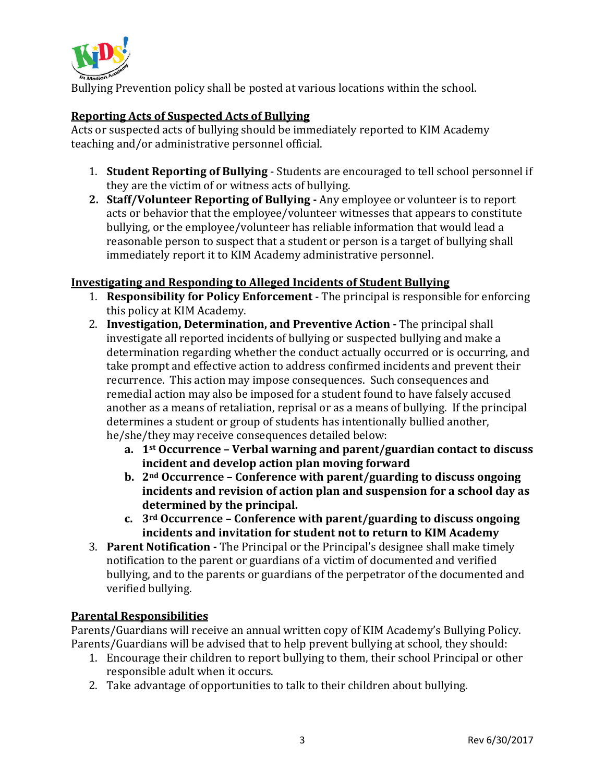

Bullying Prevention policy shall be posted at various locations within the school.

## **Reporting Acts of Suspected Acts of Bullying**

Acts or suspected acts of bullying should be immediately reported to KIM Academy teaching and/or administrative personnel official.

- 1. **Student Reporting of Bullying** Students are encouraged to tell school personnel if they are the victim of or witness acts of bullying.
- **2. Staff/Volunteer Reporting of Bullying -** Any employee or volunteer is to report acts or behavior that the employee/volunteer witnesses that appears to constitute bullying, or the employee/volunteer has reliable information that would lead a reasonable person to suspect that a student or person is a target of bullying shall immediately report it to KIM Academy administrative personnel.

## **Investigating and Responding to Alleged Incidents of Student Bullying**

- 1. **Responsibility for Policy Enforcement** The principal is responsible for enforcing this policy at KIM Academy.
- 2. **Investigation, Determination, and Preventive Action -** The principal shall investigate all reported incidents of bullying or suspected bullying and make a determination regarding whether the conduct actually occurred or is occurring, and take prompt and effective action to address confirmed incidents and prevent their recurrence. This action may impose consequences. Such consequences and remedial action may also be imposed for a student found to have falsely accused another as a means of retaliation, reprisal or as a means of bullying. If the principal determines a student or group of students has intentionally bullied another, he/she/they may receive consequences detailed below:
	- **a. 1st Occurrence – Verbal warning and parent/guardian contact to discuss incident and develop action plan moving forward**
	- **b. 2nd Occurrence – Conference with parent/guarding to discuss ongoing incidents and revision of action plan and suspension for a school day as determined by the principal.**
	- **c. 3rd Occurrence – Conference with parent/guarding to discuss ongoing incidents and invitation for student not to return to KIM Academy**
- 3. **Parent Notification -** The Principal or the Principal's designee shall make timely notification to the parent or guardians of a victim of documented and verified bullying, and to the parents or guardians of the perpetrator of the documented and verified bullying.

## **Parental Responsibilities**

Parents/Guardians will receive an annual written copy of KIM Academy's Bullying Policy. Parents/Guardians will be advised that to help prevent bullying at school, they should:

- 1. Encourage their children to report bullying to them, their school Principal or other responsible adult when it occurs.
- 2. Take advantage of opportunities to talk to their children about bullying.